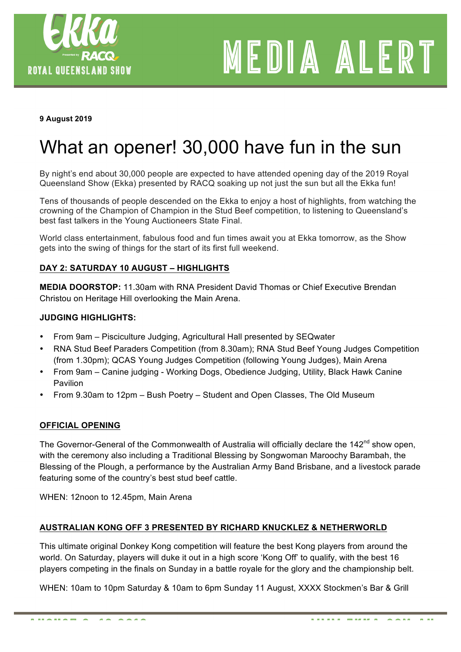

# MEDIA ALERT

#### **9 August 2019**

# What an opener! 30,000 have fun in the sun

By night's end about 30,000 people are expected to have attended opening day of the 2019 Royal Queensland Show (Ekka) presented by RACQ soaking up not just the sun but all the Ekka fun!

Tens of thousands of people descended on the Ekka to enjoy a host of highlights, from watching the crowning of the Champion of Champion in the Stud Beef competition, to listening to Queensland's best fast talkers in the Young Auctioneers State Final.

World class entertainment, fabulous food and fun times await you at Ekka tomorrow, as the Show gets into the swing of things for the start of its first full weekend.

#### **DAY 2: SATURDAY 10 AUGUST – HIGHLIGHTS**

**MEDIA DOORSTOP:** 11.30am with RNA President David Thomas or Chief Executive Brendan Christou on Heritage Hill overlooking the Main Arena.

#### **JUDGING HIGHLIGHTS:**

- From 9am Pisciculture Judging, Agricultural Hall presented by SEQwater
- RNA Stud Beef Paraders Competition (from 8.30am); RNA Stud Beef Young Judges Competition (from 1.30pm); QCAS Young Judges Competition (following Young Judges), Main Arena
- From 9am Canine judging Working Dogs, Obedience Judging, Utility, Black Hawk Canine Pavilion
- From 9.30am to 12pm Bush Poetry Student and Open Classes, The Old Museum

#### **OFFICIAL OPENING**

The Governor-General of the Commonwealth of Australia will officially declare the  $142<sup>nd</sup>$  show open, with the ceremony also including a Traditional Blessing by Songwoman Maroochy Barambah, the Blessing of the Plough, a performance by the Australian Army Band Brisbane, and a livestock parade featuring some of the country's best stud beef cattle.

WHEN: 12noon to 12.45pm, Main Arena

#### **AUSTRALIAN KONG OFF 3 PRESENTED BY RICHARD KNUCKLEZ & NETHERWORLD**

This ultimate original Donkey Kong competition will feature the best Kong players from around the world. On Saturday, players will duke it out in a high score 'Kong Off' to qualify, with the best 16 players competing in the finals on Sunday in a battle royale for the glory and the championship belt.

WHEN: 10am to 10pm Saturday & 10am to 6pm Sunday 11 August, XXXX Stockmen's Bar & Grill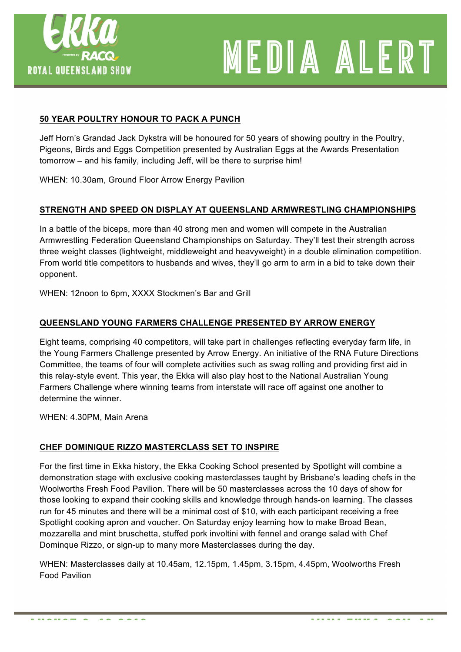

# MEDIA ALERT

## **50 YEAR POULTRY HONOUR TO PACK A PUNCH**

Jeff Horn's Grandad Jack Dykstra will be honoured for 50 years of showing poultry in the Poultry, Pigeons, Birds and Eggs Competition presented by Australian Eggs at the Awards Presentation tomorrow – and his family, including Jeff, will be there to surprise him!

WHEN: 10.30am, Ground Floor Arrow Energy Pavilion

### **STRENGTH AND SPEED ON DISPLAY AT QUEENSLAND ARMWRESTLING CHAMPIONSHIPS**

In a battle of the biceps, more than 40 strong men and women will compete in the Australian Armwrestling Federation Queensland Championships on Saturday. They'll test their strength across three weight classes (lightweight, middleweight and heavyweight) in a double elimination competition. From world title competitors to husbands and wives, they'll go arm to arm in a bid to take down their opponent.

WHEN: 12noon to 6pm, XXXX Stockmen's Bar and Grill

### **QUEENSLAND YOUNG FARMERS CHALLENGE PRESENTED BY ARROW ENERGY**

Eight teams, comprising 40 competitors, will take part in challenges reflecting everyday farm life, in the Young Farmers Challenge presented by Arrow Energy. An initiative of the RNA Future Directions Committee, the teams of four will complete activities such as swag rolling and providing first aid in this relay-style event. This year, the Ekka will also play host to the National Australian Young Farmers Challenge where winning teams from interstate will race off against one another to determine the winner.

WHEN: 4.30PM, Main Arena

#### **CHEF DOMINIQUE RIZZO MASTERCLASS SET TO INSPIRE**

For the first time in Ekka history, the Ekka Cooking School presented by Spotlight will combine a demonstration stage with exclusive cooking masterclasses taught by Brisbane's leading chefs in the Woolworths Fresh Food Pavilion. There will be 50 masterclasses across the 10 days of show for those looking to expand their cooking skills and knowledge through hands-on learning. The classes run for 45 minutes and there will be a minimal cost of \$10, with each participant receiving a free Spotlight cooking apron and voucher. On Saturday enjoy learning how to make Broad Bean, mozzarella and mint bruschetta, stuffed pork involtini with fennel and orange salad with Chef Dominque Rizzo, or sign-up to many more Masterclasses during the day.

WHEN: Masterclasses daily at 10.45am, 12.15pm, 1.45pm, 3.15pm, 4.45pm, Woolworths Fresh Food Pavilion